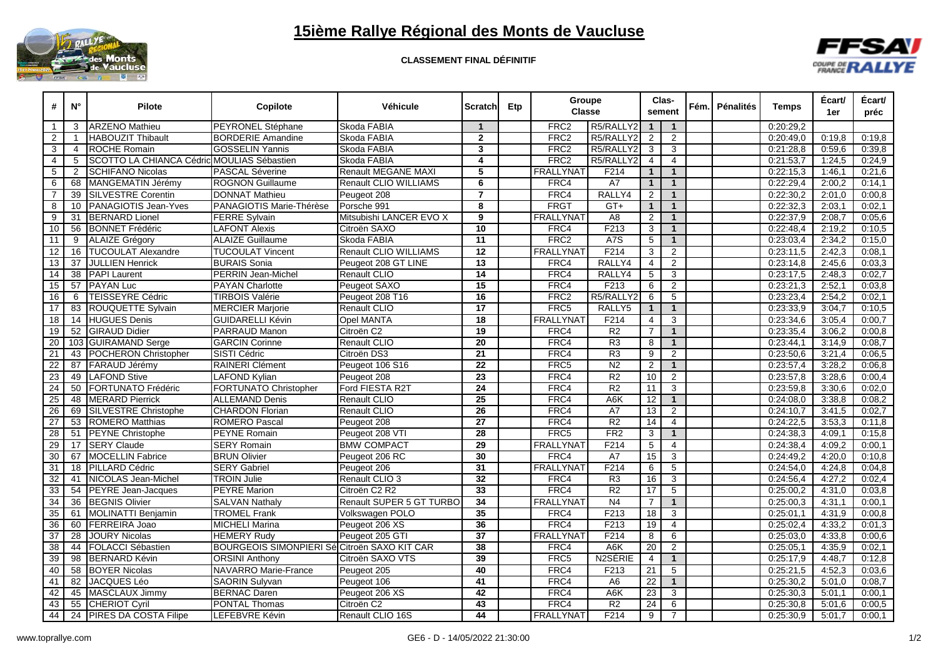

## **15ième Rallye Régional des Monts de Vaucluse**

**CLASSEMENT FINAL DÉFINITIF**



| #               | $N^{\circ}$     | <b>Pilote</b>                                | Copilote                                                           | Véhicule                                                          | <b>Scratch</b>          | Etp |                          | Groupe<br><b>Classe</b>          |                                | Clas-<br>sement   | Fém. | Pénalités | Temps                  | Écart/<br>1er    | Écart/<br>préc   |
|-----------------|-----------------|----------------------------------------------|--------------------------------------------------------------------|-------------------------------------------------------------------|-------------------------|-----|--------------------------|----------------------------------|--------------------------------|-------------------|------|-----------|------------------------|------------------|------------------|
| $\mathbf{1}$    | 3               | <b>ARZENO Mathieu</b>                        | PEYRONEL Stéphane                                                  | Skoda FABIA                                                       | $\mathbf{1}$            |     | FRC <sub>2</sub>         | R5/RALLY2                        | $\overline{1}$<br>$\mathbf{1}$ |                   |      |           | 0:20:29,2              |                  |                  |
| 2               | $\mathbf{1}$    | <b>HABOUZIT Thibault</b>                     | <b>BORDERIE Amandine</b>                                           | Skoda FABIA                                                       | $\overline{2}$          |     | FRC <sub>2</sub>         | R5/RALLY2                        | 2                              | 2                 |      |           | 0:20:49.0              | 0:19,8           | 0:19,8           |
| 3               | $\overline{4}$  | <b>ROCHE Romain</b>                          | <b>GOSSELIN Yannis</b>                                             | Skoda FABIA                                                       | 3                       |     | FRC <sub>2</sub>         | R5/RALLY2                        | $\mathbf{3}$                   | 3                 |      |           | 0:21:28.8              | 0:59.6           | 0.39.8           |
| 4               | 5               | SCOTTO LA CHIANCA Cédric MOULIAS Sébastien   |                                                                    | Skoda FABIA                                                       | 4                       |     | FRC <sub>2</sub>         | R5/RALLY2                        | $\overline{4}$                 | $\overline{4}$    |      |           | 0:21:53.7              | 1:24,5           | 0:24,9           |
| 5               | $\overline{2}$  | <b>SCHIFANO Nicolas</b>                      | <b>PASCAL Séverine</b>                                             | <b>Renault MEGANE MAXI</b>                                        | 5                       |     | <b>FRALLYNA</b>          | F214                             | $\overline{1}$                 | $\mathbf{1}$      |      |           | 0:22:15,3              | 1:46.1           | 0:21.6           |
| 6               | 68              | MANGEMATIN Jérémy                            | <b>ROGNON Guillaume</b>                                            | Renault CLIO WILLIAMS                                             | 6                       |     | FRC4                     | A7                               | $\overline{1}$                 | $\mathbf{1}$      |      |           | 0:22:29,4              | 2:00,2           | 0:14,1           |
| $\overline{7}$  | 39              | <b>SILVESTRE Corentin</b>                    | <b>DONNAT Mathieu</b>                                              | Peugeot 208                                                       | $\overline{\mathbf{z}}$ |     | FRC4                     | RALLY4                           | 2                              | $\mathbf{1}$      |      |           | 0:22:30,2              | 2:01,0           | 0:00,8           |
| 8               | 10 <sup>1</sup> | PANAGIOTIS Jean-Yves                         | PANAGIOTIS Marie-Thérèse                                           | Porsche 991                                                       | 8                       |     | <b>FRGT</b>              | $GT+$                            | $\overline{1}$                 | $\mathbf{1}$      |      |           | 0:22:32,3              | 2:03,1           | 0:02,1           |
| 9               | 31              | <b>BERNARD Lionel</b>                        | <b>FERRE Sylvain</b>                                               | Mitsubishi LANCER EVO X                                           | $\overline{9}$          |     | <b>FRALLYNAT</b>         | A <sub>8</sub>                   | $\overline{c}$                 | $\mathbf{1}$      |      |           | 0:22:37,9              | 2:08,7           | 0:05,6           |
| 10              | 56              | <b>BONNET Frédéric</b>                       | <b>LAFONT Alexis</b>                                               | Citroën SAXO                                                      | 10                      |     | FRC4                     | F213                             | 3                              | $\mathbf{1}$      |      |           | 0:22:48,4              | 2:19,2           | 0:10,5           |
| 11              | 9               | <b>ALAIZE Grégory</b>                        | <b>ALAIZE Guillaume</b>                                            | Skoda FABIA                                                       | $\overline{11}$         |     | FRC <sub>2</sub>         | A7S                              | 5                              | $\mathbf{1}$      |      |           | 0:23:03,4              | 2:34,2           | 0:15,0           |
| 12              | 16              | <b>TUCOULAT Alexandre</b>                    | <b>TUCOULAT Vincent</b>                                            | Renault CLIO WILLIAMS                                             | 12                      |     | <b>FRALLYNAT</b>         | F214                             | 3                              | $\overline{2}$    |      |           | 0:23:11,5              | 2:42.3           | 0:08.1           |
| 13              | 37              | <b>JULLIEN Henrick</b>                       | <b>BURAIS Sonia</b>                                                | Peugeot 208 GT LINE                                               | 13                      |     | FRC4                     | RALLY4                           | $\overline{4}$                 | 2                 |      |           | 0:23:14.8              | 2:45,6           | 0:03,3           |
| 14              | 38              | <b>PAPI Laurent</b>                          | <b>PERRIN Jean-Michel</b>                                          | <b>Renault CLIO</b>                                               | 14                      |     | FRC4                     | RALLY4                           | $\sqrt{5}$                     | 3                 |      |           | 0:23:17,5              | 2:48,3           | 0:02,7           |
| 15              | 57              | <b>PAYAN Luc</b>                             | <b>PAYAN Charlotte</b>                                             | Peugeot SAXO                                                      | $\overline{15}$         |     | FRC4                     | F213                             | 6                              | $\overline{2}$    |      |           | 0:23:21,3              | 2:52,1           | 0:03,8           |
| 16              | 6               | <b>TEISSEYRE Cédric</b>                      | <b>TIRBOIS Valérie</b>                                             | Peugeot 208 T16                                                   | 16                      |     | FRC <sub>2</sub>         | R5/RALLY2                        | 6                              | 5                 |      |           | 0:23:23,4              | 2:54,2           | 0:02,1           |
| 17              | 83              | ROUQUETTE Sylvain                            | <b>MERCIER Marjorie</b>                                            | <b>Renault CLIO</b>                                               | $\overline{17}$         |     | FRC5                     | RALLY5                           | $\overline{1}$                 | $\mathbf{1}$      |      |           | 0:23:33,9              | 3:04.7           | 0:10.5           |
| 18              | 14              | <b>HUGUES Denis</b>                          | <b>GUIDARELLI Kévin</b>                                            | <b>Opel MANTA</b>                                                 | 18                      |     | <b>FRALLYNA</b>          | F214                             | $\overline{4}$                 | 3                 |      |           | 0:23:34,6              | 3:05,4           | 0:00.7           |
| 19              | 52              | <b>GIRAUD Didier</b>                         | PARRAUD Manon                                                      | Citroën C2                                                        | $\overline{19}$         |     | FRC4                     | R <sub>2</sub>                   | $\overline{7}$                 | $\mathbf{1}$      |      |           | 0:23:35,4              | 3:06,2           | 0.00.8           |
| 20              |                 | 103 GUIRAMAND Serge                          | <b>GARCIN Corinne</b>                                              | Renault CLIO                                                      | 20                      |     | FRC4                     | R3                               | $\overline{8}$                 | $\mathbf{1}$      |      |           | 0.23:44,1              | 3:14,9           | 0:08,7           |
| 21              | 43              | POCHERON Christopher                         | <b>SISTI Cédric</b>                                                | Citroën DS3                                                       | 21                      |     | FRC4                     | R3                               | 9                              | 2                 |      |           | 0:23:50,6              | 3:21,4           | 0:06,5           |
| $\overline{22}$ | 87              | FARAUD Jérémy                                | RAINERI Clément                                                    | Peugeot 106 S16                                                   | $\overline{22}$         |     | FRC5                     | N <sub>2</sub>                   | $\overline{2}$                 | $\mathbf{1}$      |      |           | 0:23:57,4              | 3:28,2           | 0:06,8           |
| 23              | 49              | <b>LAFOND Stive</b>                          | <b>LAFOND Kylian</b>                                               | Peugeot 208                                                       | $\overline{23}$         |     | FRC4                     | R <sub>2</sub>                   | 10                             | 2                 |      |           | 0:23:57,8              | 3:28,6           | 0:00,4           |
| 24              | 50              | <b>FORTUNATO Frédéric</b>                    | <b>FORTUNATO Christopher</b>                                       | Ford FIESTA R2T                                                   | 24                      |     | FRC4                     | R <sub>2</sub>                   | $\overline{11}$                | 3                 |      |           | 0.23:59,8              | 3:30,6           | 0:02,0           |
| 25              | 48              | <b>MERARD Pierrick</b>                       | <b>ALLEMAND Denis</b>                                              | Renault CLIO                                                      | $\overline{25}$         |     | FRC4                     | A <sub>6</sub> K                 | $\overline{12}$                | $\mathbf{1}$      |      |           | 0:24:08,0              | 3:38,8           | 0:08,2           |
| 26              | 69              | <b>SILVESTRE Christophe</b>                  | <b>CHARDON Florian</b>                                             | <b>Renault CLIO</b>                                               | 26                      |     | FRC4                     | A7                               | $\overline{13}$                | 2                 |      |           | 0:24:10,7              | 3:41,5           | 0:02,7           |
| 27              | 53              | <b>ROMERO Matthias</b>                       | <b>ROMERO Pascal</b>                                               | Peugeot 208                                                       | $\overline{27}$         |     | FRC4                     | R <sub>2</sub>                   | 14                             | $\overline{4}$    |      |           | 0:24:22,5              | 3:53,3           | 0:11,8           |
| 28              | 51              | <b>PEYNE Christophe</b>                      | <b>PEYNE Romain</b>                                                | Peugeot 208 VTI                                                   | 28                      |     | FRC5                     | FR2                              | 3                              | $\mathbf{1}$      |      |           | 0:24:38,3              | 4:09.1           | 0:15.8           |
| 29              | 17              | <b>SERY Claude</b>                           | <b>SERY Romain</b>                                                 | <b>BMW COMPACT</b>                                                | $\overline{29}$         |     | <b>FRALLYNA</b>          | F <sub>2</sub> 14                | 5                              | $\overline{4}$    |      |           | 0:24:38,4              | 4:09,2           | 0:00.1           |
| 30              | 67              | <b>MOCELLIN Fabrice</b>                      | <b>BRUN Olivier</b>                                                | Peugeot 206 RC                                                    | 30                      |     | FRC4                     | A7                               | 15                             | $\overline{3}$    |      |           | 0:24:49,2              | 4:20,0           | 0:10,8           |
| 31              | 18              | <b>PILLARD Cédric</b>                        | <b>SERY Gabriel</b>                                                | Peugeot 206                                                       | $\overline{31}$         |     | <b>FRALLYNAT</b>         | F <sub>2</sub> 14                | 6                              | 5                 |      |           | 0:24:54,0              | 4:24,8           | 0:04,8           |
| 32              | 41              | NICOLAS Jean-Michel                          | <b>TROIN Julie</b>                                                 | Renault CLIO 3                                                    | 32                      |     | FRC4                     | R <sub>3</sub>                   | 16                             | 3                 |      |           | 0:24:56,4              | 4:27.2           | 0:02.4           |
| 33              | 54              | <b>PEYRE Jean-Jacques</b>                    | <b>PEYRE Marion</b>                                                | Citroën C <sub>2</sub> R <sub>2</sub><br>Renault SUPER 5 GT TURBO | 33                      |     | FRC4<br><b>FRALLYNAT</b> | R <sub>2</sub><br>N <sub>4</sub> | 17<br>$\overline{7}$           | 5<br>$\mathbf{1}$ |      |           | 0:25:00.2              | 4:31,0           | 0:03,8           |
| 34<br>35        | 36<br>61        | <b>BEGNIS Olivier</b><br>MOLINATTI Benjamin  | <b>SALVAN Nathaly</b><br><b>TROMEL Frank</b>                       |                                                                   | 34<br>35                |     | FRC4                     | F213                             | $\overline{18}$                | 3                 |      |           | 0:25:00,3<br>0:25:01,1 | 4:31,1<br>4:31,9 | 0:00,1<br>0:00.8 |
|                 |                 |                                              |                                                                    | Volkswagen POLO                                                   |                         |     | FRC4                     |                                  |                                |                   |      |           |                        |                  |                  |
| 36              | 60<br>28        | <b>FERREIRA Joao</b><br><b>JOURY Nicolas</b> | <b>MICHELI Marina</b>                                              | Peugeot 206 XS                                                    | 36<br>$\overline{37}$   |     | <b>FRALLYNAT</b>         | F213<br>F <sub>2</sub> 14        | 19                             | $\overline{4}$    |      |           | 0:25:02,4              | 4:33,2           | 0:01,3           |
| 37<br>38        | 44              |                                              | <b>HEMERY Rudy</b><br>BOURGEOIS SIMONPIERI Sé Citroën SAXO KIT CAR | Peugeot 205 GTI                                                   | 38                      |     | FRC4                     |                                  | 8<br>20                        | 6                 |      |           | 0:25:03,0              | 4:33,8           | 0:00.6           |
| 39              | 98              | <b>FOLACCI Sébastien</b>                     |                                                                    |                                                                   | 39                      |     | FRC5                     | A <sub>6</sub> K<br>N2SÉRIE      | $\overline{4}$                 | 2<br>$\mathbf{1}$ |      |           | 0:25:05.1              | 4:35.9<br>4:48,7 | 0:02,1<br>0.12.8 |
| 40              | 58              | <b>BERNARD Kévin</b><br><b>BOYER Nicolas</b> | <b>ORSINI Anthony</b><br>NAVARRO Marie-France                      | Citroën SAXO VTS<br>Peugeot 205                                   | 40                      |     | FRC4                     | F213                             | $\overline{21}$                | $\overline{5}$    |      |           | 0:25:17,9<br>0:25:21.5 | 4:52,3           | 0:03,6           |
| 41              | 82              | <b>JACQUES Léo</b>                           | <b>SAORIN Sulyvan</b>                                              | Peugeot 106                                                       | 41                      |     | FRC4                     | A6                               | 22                             | $\mathbf{1}$      |      |           | 0:25:30,2              | 5.01,0           | 0:08,7           |
| 42              | 45              | MASCLAUX Jimmy                               | <b>BERNAC Daren</b>                                                | Peugeot 206 XS                                                    | 42                      |     | FRC4                     | A6K                              | 23                             | 3                 |      |           | 0:25:30,3              | 5.01,1           | 0:00,1           |
| 43              | 55              | <b>CHERIOT Cyril</b>                         | <b>PONTAL Thomas</b>                                               | Citroën C2                                                        | 43                      |     | FRC4                     | R <sub>2</sub>                   | $\overline{24}$                | 6                 |      |           | 0:25:30.8              | 5:01.6           | 0:00,5           |
| 44              | $\overline{24}$ | <b>PIRES DA COSTA Filipe</b>                 | LEFEBVRE Kévin                                                     | Renault CLIO 16S                                                  | 44                      |     | <b>FRALLYNAT</b>         | F214                             | 9                              | $\overline{7}$    |      |           | 0:25:30,9              | 5:01,7           | 0:00,1           |
|                 |                 |                                              |                                                                    |                                                                   |                         |     |                          |                                  |                                |                   |      |           |                        |                  |                  |